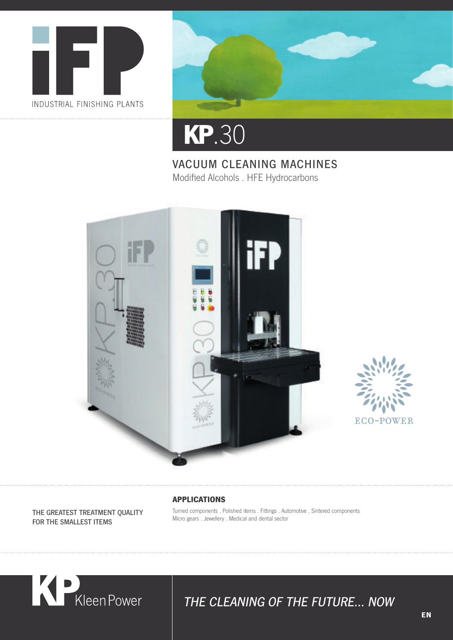



# **KP** .30

#### VACUUM CLEANING MACHINES Modified Alcohols . HFE Hydrocarbons





#### **APPLICATIONS**

THE GREATEST TREATMENT QUALITY FOR THE SMALLEST ITEMS

#### Turned components . Polished items . Fittings . Automotive . Sintered components Micro gears . Jewellery . Medical and dental sector



## THE CLEANING OF THE FUTURE... NOW